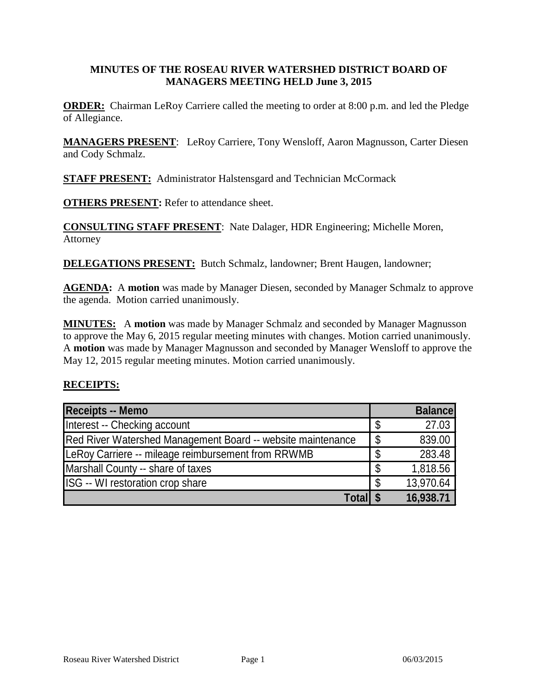#### **MINUTES OF THE ROSEAU RIVER WATERSHED DISTRICT BOARD OF MANAGERS MEETING HELD June 3, 2015**

**ORDER:** Chairman LeRoy Carriere called the meeting to order at 8:00 p.m. and led the Pledge of Allegiance.

**MANAGERS PRESENT**: LeRoy Carriere, Tony Wensloff, Aaron Magnusson, Carter Diesen and Cody Schmalz.

**STAFF PRESENT:** Administrator Halstensgard and Technician McCormack

**OTHERS PRESENT:** Refer to attendance sheet.

**CONSULTING STAFF PRESENT**: Nate Dalager, HDR Engineering; Michelle Moren, Attorney

**DELEGATIONS PRESENT:** Butch Schmalz, landowner; Brent Haugen, landowner;

**AGENDA:** A motion was made by Manager Diesen, seconded by Manager Schmalz to approve the agenda. Motion carried unanimously.

**MINUTES:** A **motion** was made by Manager Schmalz and seconded by Manager Magnusson to approve the May 6, 2015 regular meeting minutes with changes. Motion carried unanimously. A **motion** was made by Manager Magnusson and seconded by Manager Wensloff to approve the May 12, 2015 regular meeting minutes. Motion carried unanimously.

#### **RECEIPTS:**

| <b>Receipts -- Memo</b>                                     |    | <b>Balance</b> |
|-------------------------------------------------------------|----|----------------|
| Interest -- Checking account                                | \$ | 27.03          |
| Red River Watershed Management Board -- website maintenance | \$ | 839.00         |
| LeRoy Carriere -- mileage reimbursement from RRWMB          |    | 283.48         |
| Marshall County -- share of taxes                           | S  | 1,818.56       |
| ISG -- WI restoration crop share                            | S  | 13,970.64      |
| Total \$                                                    |    | 16,938.71      |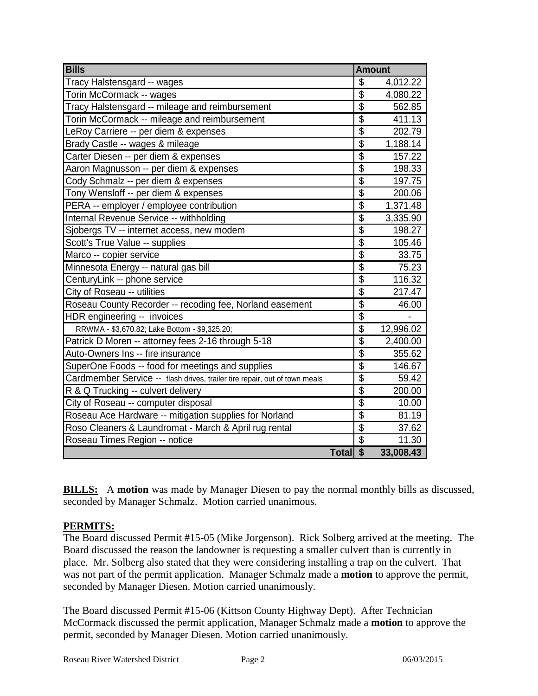| <b>Bills</b>                                                               | <b>Amount</b>                        |           |
|----------------------------------------------------------------------------|--------------------------------------|-----------|
| Tracy Halstensgard -- wages                                                | \$                                   | 4,012.22  |
| Torin McCormack -- wages                                                   | \$                                   | 4,080.22  |
| Tracy Halstensgard -- mileage and reimbursement                            | \$                                   | 562.85    |
| Torin McCormack -- mileage and reimbursement                               | \$                                   | 411.13    |
| LeRoy Carriere -- per diem & expenses                                      | $\overline{\$}$                      | 202.79    |
| Brady Castle -- wages & mileage                                            | $\overline{\$}$                      | 1,188.14  |
| Carter Diesen -- per diem & expenses                                       | $\overline{\$}$                      | 157.22    |
| Aaron Magnusson -- per diem & expenses                                     | $\overline{\$}$                      | 198.33    |
| Cody Schmalz -- per diem & expenses                                        | $\overline{\$}$                      | 197.75    |
| Tony Wensloff -- per diem & expenses                                       | $\overline{\$}$                      | 200.06    |
| PERA -- employer / employee contribution                                   | $\overline{\$}$                      | 1,371.48  |
| Internal Revenue Service -- withholding                                    | $\overline{\$}$                      | 3,335.90  |
| Sjobergs TV -- internet access, new modem                                  | $\overline{\$}$                      | 198.27    |
| Scott's True Value -- supplies                                             | $\overline{\boldsymbol{\mathsf{s}}}$ | 105.46    |
| Marco -- copier service                                                    | $\overline{\$}$                      | 33.75     |
| Minnesota Energy -- natural gas bill                                       | $\overline{\$}$                      | 75.23     |
| CenturyLink -- phone service                                               | $\overline{\$}$                      | 116.32    |
| City of Roseau -- utilities                                                | $\overline{\$}$                      | 217.47    |
| Roseau County Recorder -- recoding fee, Norland easement                   | $\overline{\mathbf{S}}$              | 46.00     |
| HDR engineering -- invoices                                                | $\overline{\$}$                      |           |
| RRWMA - \$3,670.82; Lake Bottom - \$9,325.20;                              | $\overline{\$}$                      | 12,996.02 |
| Patrick D Moren -- attorney fees 2-16 through 5-18                         | \$                                   | 2,400.00  |
| Auto-Owners Ins -- fire insurance                                          | $\overline{\$}$                      | 355.62    |
| SuperOne Foods -- food for meetings and supplies                           | $\overline{\$}$                      | 146.67    |
| Cardmember Service -- flash drives, trailer tire repair, out of town meals | $\overline{\$}$                      | 59.42     |
| R & Q Trucking -- culvert delivery                                         | $\overline{\$}$                      | 200.00    |
| City of Roseau -- computer disposal                                        | $\overline{\$}$                      | 10.00     |
| Roseau Ace Hardware -- mitigation supplies for Norland                     | $\overline{\$}$                      | 81.19     |
| Roso Cleaners & Laundromat - March & April rug rental                      | $\overline{\$}$                      | 37.62     |
| Roseau Times Region -- notice                                              | \$                                   | 11.30     |
| Total \$                                                                   |                                      | 33,008.43 |

**BILLS:** A motion was made by Manager Diesen to pay the normal monthly bills as discussed, seconded by Manager Schmalz. Motion carried unanimous.

#### **PERMITS:**

The Board discussed Permit #15-05 (Mike Jorgenson). Rick Solberg arrived at the meeting. The Board discussed the reason the landowner is requesting a smaller culvert than is currently in place. Mr. Solberg also stated that they were considering installing a trap on the culvert. That was not part of the permit application. Manager Schmalz made a **motion** to approve the permit, seconded by Manager Diesen. Motion carried unanimously.

The Board discussed Permit #15-06 (Kittson County Highway Dept). After Technician McCormack discussed the permit application, Manager Schmalz made a **motion** to approve the permit, seconded by Manager Diesen. Motion carried unanimously.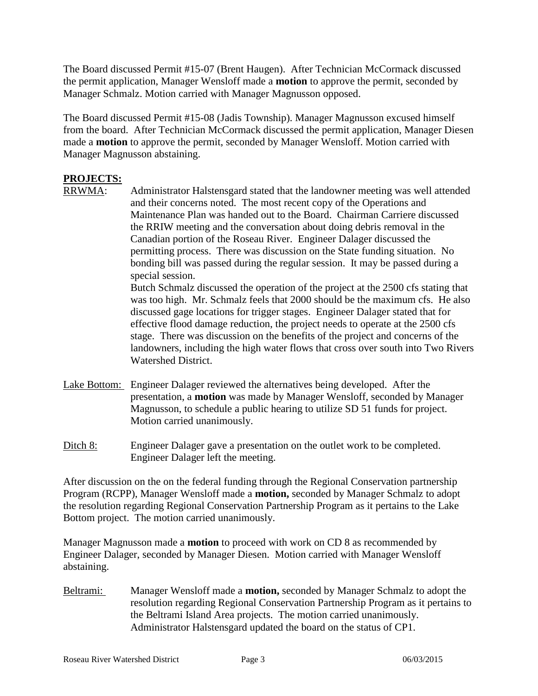The Board discussed Permit #15-07 (Brent Haugen). After Technician McCormack discussed the permit application, Manager Wensloff made a **motion** to approve the permit, seconded by Manager Schmalz. Motion carried with Manager Magnusson opposed.

The Board discussed Permit #15-08 (Jadis Township). Manager Magnusson excused himself from the board. After Technician McCormack discussed the permit application, Manager Diesen made a **motion** to approve the permit, seconded by Manager Wensloff. Motion carried with Manager Magnusson abstaining.

# **PROJECTS:**

Administrator Halstensgard stated that the landowner meeting was well attended and their concerns noted. The most recent copy of the Operations and Maintenance Plan was handed out to the Board. Chairman Carriere discussed the RRIW meeting and the conversation about doing debris removal in the Canadian portion of the Roseau River. Engineer Dalager discussed the permitting process. There was discussion on the State funding situation. No bonding bill was passed during the regular session. It may be passed during a special session.

Butch Schmalz discussed the operation of the project at the 2500 cfs stating that was too high. Mr. Schmalz feels that 2000 should be the maximum cfs. He also discussed gage locations for trigger stages. Engineer Dalager stated that for effective flood damage reduction, the project needs to operate at the 2500 cfs stage. There was discussion on the benefits of the project and concerns of the landowners, including the high water flows that cross over south into Two Rivers Watershed District.

- Lake Bottom: Engineer Dalager reviewed the alternatives being developed. After the presentation, a **motion** was made by Manager Wensloff, seconded by Manager Magnusson, to schedule a public hearing to utilize SD 51 funds for project. Motion carried unanimously.
- Ditch 8: Engineer Dalager gave a presentation on the outlet work to be completed. Engineer Dalager left the meeting.

After discussion on the on the federal funding through the Regional Conservation partnership Program (RCPP), Manager Wensloff made a **motion,** seconded by Manager Schmalz to adopt the resolution regarding Regional Conservation Partnership Program as it pertains to the Lake Bottom project. The motion carried unanimously.

Manager Magnusson made a **motion** to proceed with work on CD 8 as recommended by Engineer Dalager, seconded by Manager Diesen. Motion carried with Manager Wensloff abstaining.

Beltrami: Manager Wensloff made a **motion,** seconded by Manager Schmalz to adopt the resolution regarding Regional Conservation Partnership Program as it pertains to the Beltrami Island Area projects. The motion carried unanimously. Administrator Halstensgard updated the board on the status of CP1.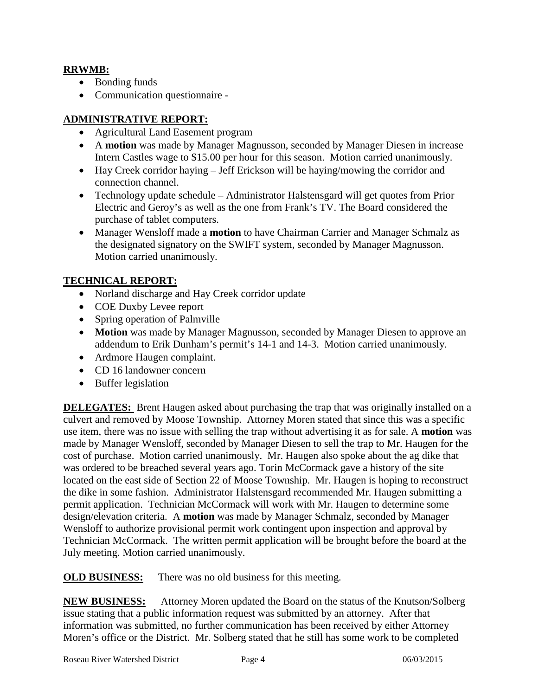#### **RRWMB:**

- Bonding funds
- Communication questionnaire -

## **ADMINISTRATIVE REPORT:**

- Agricultural Land Easement program
- A **motion** was made by Manager Magnusson, seconded by Manager Diesen in increase Intern Castles wage to \$15.00 per hour for this season. Motion carried unanimously.
- Hay Creek corridor haying Jeff Erickson will be haying/mowing the corridor and connection channel.
- Technology update schedule Administrator Halstensgard will get quotes from Prior Electric and Geroy's as well as the one from Frank's TV. The Board considered the purchase of tablet computers.
- Manager Wensloff made a **motion** to have Chairman Carrier and Manager Schmalz as the designated signatory on the SWIFT system, seconded by Manager Magnusson. Motion carried unanimously.

### **TECHNICAL REPORT:**

- Norland discharge and Hay Creek corridor update
- COE Duxby Levee report
- Spring operation of Palmville
- **Motion** was made by Manager Magnusson, seconded by Manager Diesen to approve an addendum to Erik Dunham's permit's 14-1 and 14-3. Motion carried unanimously.
- Ardmore Haugen complaint.
- CD 16 landowner concern
- Buffer legislation

**DELEGATES:** Brent Haugen asked about purchasing the trap that was originally installed on a culvert and removed by Moose Township. Attorney Moren stated that since this was a specific use item, there was no issue with selling the trap without advertising it as for sale. A **motion** was made by Manager Wensloff, seconded by Manager Diesen to sell the trap to Mr. Haugen for the cost of purchase. Motion carried unanimously. Mr. Haugen also spoke about the ag dike that was ordered to be breached several years ago. Torin McCormack gave a history of the site located on the east side of Section 22 of Moose Township. Mr. Haugen is hoping to reconstruct the dike in some fashion. Administrator Halstensgard recommended Mr. Haugen submitting a permit application. Technician McCormack will work with Mr. Haugen to determine some design/elevation criteria. A **motion** was made by Manager Schmalz, seconded by Manager Wensloff to authorize provisional permit work contingent upon inspection and approval by Technician McCormack. The written permit application will be brought before the board at the July meeting. Motion carried unanimously.

**OLD BUSINESS:** There was no old business for this meeting.

**NEW BUSINESS:** Attorney Moren updated the Board on the status of the Knutson/Solberg issue stating that a public information request was submitted by an attorney. After that information was submitted, no further communication has been received by either Attorney Moren's office or the District. Mr. Solberg stated that he still has some work to be completed